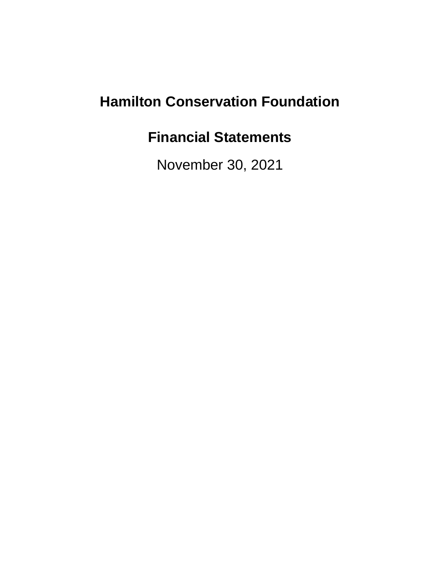# **Hamilton Conservation Foundation**

# **Financial Statements**

November 30, 2021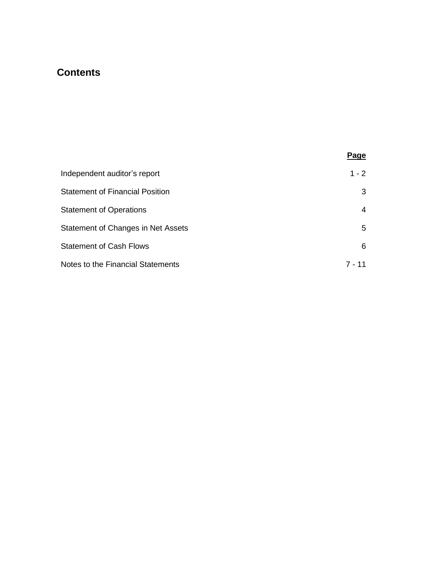### **Contents**

|                                        | Page    |
|----------------------------------------|---------|
| Independent auditor's report           | $1 - 2$ |
| <b>Statement of Financial Position</b> | 3       |
| <b>Statement of Operations</b>         | 4       |
| Statement of Changes in Net Assets     | 5       |
| <b>Statement of Cash Flows</b>         | 6       |
| Notes to the Financial Statements      | 7 - 11  |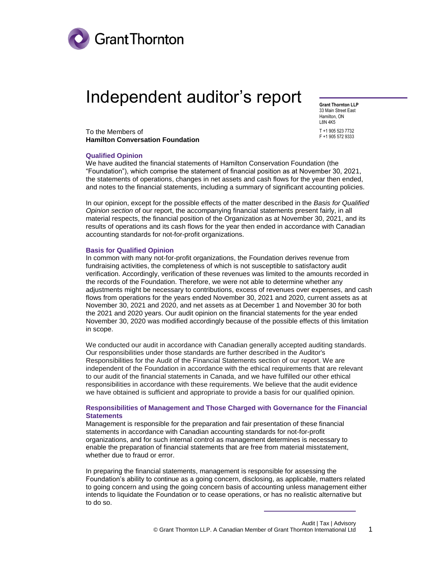

# Independent auditor's report

**Grant Thornton LLP** 33 Main Street East Hamilton, ON L8N 4K5 T +1 905 523 7732 F +1 905 572 9333

To the Members of **Hamilton Conversation Foundation** 

#### **Qualified Opinion**

We have audited the financial statements of Hamilton Conservation Foundation (the "Foundation"), which comprise the statement of financial position as at November 30, 2021, the statements of operations, changes in net assets and cash flows for the year then ended, and notes to the financial statements, including a summary of significant accounting policies.

In our opinion, except for the possible effects of the matter described in the *Basis for Qualified Opinion section* of our report, the accompanying financial statements present fairly, in all material respects, the financial position of the Organization as at November 30, 2021, and its results of operations and its cash flows for the year then ended in accordance with Canadian accounting standards for not-for-profit organizations.

#### **Basis for Qualified Opinion**

In common with many not-for-profit organizations, the Foundation derives revenue from fundraising activities, the completeness of which is not susceptible to satisfactory audit verification. Accordingly, verification of these revenues was limited to the amounts recorded in the records of the Foundation. Therefore, we were not able to determine whether any adjustments might be necessary to contributions, excess of revenues over expenses, and cash flows from operations for the years ended November 30, 2021 and 2020, current assets as at November 30, 2021 and 2020, and net assets as at December 1 and November 30 for both the 2021 and 2020 years. Our audit opinion on the financial statements for the year ended November 30, 2020 was modified accordingly because of the possible effects of this limitation in scope.

We conducted our audit in accordance with Canadian generally accepted auditing standards. Our responsibilities under those standards are further described in the Auditor's Responsibilities for the Audit of the Financial Statements section of our report. We are independent of the Foundation in accordance with the ethical requirements that are relevant to our audit of the financial statements in Canada, and we have fulfilled our other ethical responsibilities in accordance with these requirements. We believe that the audit evidence we have obtained is sufficient and appropriate to provide a basis for our qualified opinion.

#### **Responsibilities of Management and Those Charged with Governance for the Financial Statements**

Management is responsible for the preparation and fair presentation of these financial statements in accordance with Canadian accounting standards for not-for-profit organizations, and for such internal control as management determines is necessary to enable the preparation of financial statements that are free from material misstatement, whether due to fraud or error.

In preparing the financial statements, management is responsible for assessing the Foundation's ability to continue as a going concern, disclosing, as applicable, matters related to going concern and using the going concern basis of accounting unless management either intends to liquidate the Foundation or to cease operations, or has no realistic alternative but to do so.

Audit | Tax | Advisory © Grant Thornton LLP. A Canadian Member of Grant Thornton International Ltd 1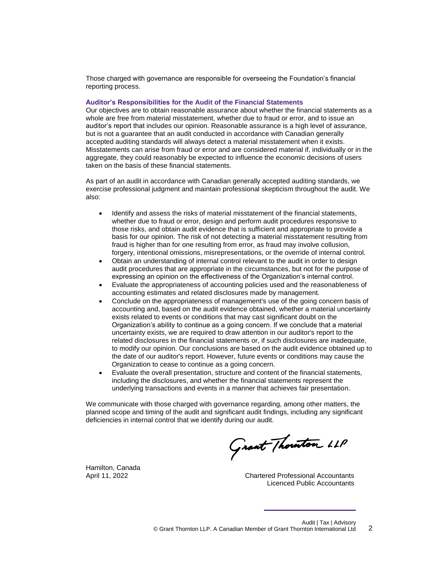Those charged with governance are responsible for overseeing the Foundation's financial reporting process.

#### **Auditor's Responsibilities for the Audit of the Financial Statements**

Our objectives are to obtain reasonable assurance about whether the financial statements as a whole are free from material misstatement, whether due to fraud or error, and to issue an auditor's report that includes our opinion. Reasonable assurance is a high level of assurance, but is not a guarantee that an audit conducted in accordance with Canadian generally accepted auditing standards will always detect a material misstatement when it exists. Misstatements can arise from fraud or error and are considered material if, individually or in the aggregate, they could reasonably be expected to influence the economic decisions of users taken on the basis of these financial statements.

As part of an audit in accordance with Canadian generally accepted auditing standards, we exercise professional judgment and maintain professional skepticism throughout the audit. We also:

- Identify and assess the risks of material misstatement of the financial statements, whether due to fraud or error, design and perform audit procedures responsive to those risks, and obtain audit evidence that is sufficient and appropriate to provide a basis for our opinion. The risk of not detecting a material misstatement resulting from fraud is higher than for one resulting from error, as fraud may involve collusion, forgery, intentional omissions, misrepresentations, or the override of internal control.
- Obtain an understanding of internal control relevant to the audit in order to design audit procedures that are appropriate in the circumstances, but not for the purpose of expressing an opinion on the effectiveness of the Organization's internal control.
- Evaluate the appropriateness of accounting policies used and the reasonableness of accounting estimates and related disclosures made by management.
- Conclude on the appropriateness of management's use of the going concern basis of accounting and, based on the audit evidence obtained, whether a material uncertainty exists related to events or conditions that may cast significant doubt on the Organization's ability to continue as a going concern. If we conclude that a material uncertainty exists, we are required to draw attention in our auditor's report to the related disclosures in the financial statements or, if such disclosures are inadequate, to modify our opinion. Our conclusions are based on the audit evidence obtained up to the date of our auditor's report. However, future events or conditions may cause the Organization to cease to continue as a going concern.
- Evaluate the overall presentation, structure and content of the financial statements, including the disclosures, and whether the financial statements represent the underlying transactions and events in a manner that achieves fair presentation.

We communicate with those charged with governance regarding, among other matters, the planned scope and timing of the audit and significant audit findings, including any significant deficiencies in internal control that we identify during our audit.

Grant Thornton LLP

Hamilton, Canada

April 11, 2022 Chartered Professional Accountants Licenced Public Accountants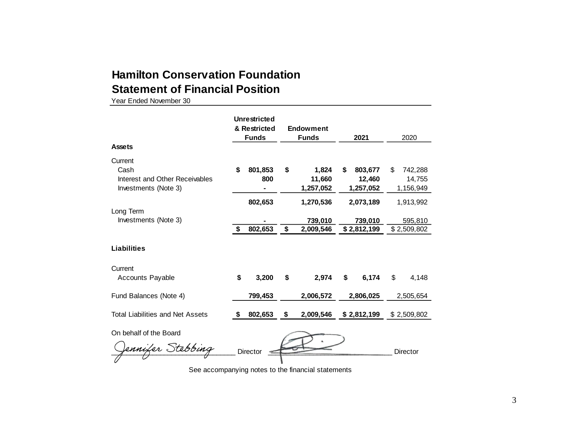## **Hamilton Conservation Foundation Statement of Financial Position**

Year Ended November 30

|                                         | Unrestricted<br>& Restricted<br><b>Funds</b> |          | <b>Endowment</b><br><b>Funds</b> |           | 2021          | 2020          |  |
|-----------------------------------------|----------------------------------------------|----------|----------------------------------|-----------|---------------|---------------|--|
| <b>Assets</b>                           |                                              |          |                                  |           |               |               |  |
| Current                                 |                                              |          |                                  |           |               |               |  |
| Cash                                    | \$                                           | 801,853  | \$                               | 1,824     | \$<br>803,677 | \$<br>742,288 |  |
| Interest and Other Receivables          |                                              | 800      |                                  | 11,660    | 12,460        | 14,755        |  |
| Investments (Note 3)                    |                                              |          |                                  | 1,257,052 | 1,257,052     | 1,156,949     |  |
|                                         |                                              | 802,653  |                                  | 1,270,536 | 2,073,189     | 1,913,992     |  |
| Long Term                               |                                              |          |                                  |           |               |               |  |
| Investments (Note 3)                    |                                              |          |                                  | 739,010   | 739,010       | 595,810       |  |
|                                         | \$                                           | 802,653  | \$                               | 2,009,546 | \$2,812,199   | \$2,509,802   |  |
| Liabilities                             |                                              |          |                                  |           |               |               |  |
| Current                                 |                                              |          |                                  |           |               |               |  |
| Accounts Payable                        | \$                                           | 3,200    | \$                               | 2,974     | \$<br>6,174   | \$<br>4,148   |  |
| Fund Balances (Note 4)                  |                                              | 799,453  |                                  | 2,006,572 | 2,806,025     | 2,505,654     |  |
| <b>Total Liabilities and Net Assets</b> | \$                                           | 802,653  | \$                               | 2,009,546 | \$2,812,199   | \$2,509,802   |  |
| On behalf of the Board                  |                                              |          |                                  |           |               |               |  |
| ennifer Stebbing                        |                                              | Director |                                  |           |               | Director      |  |

See accompanying notes to the financial statements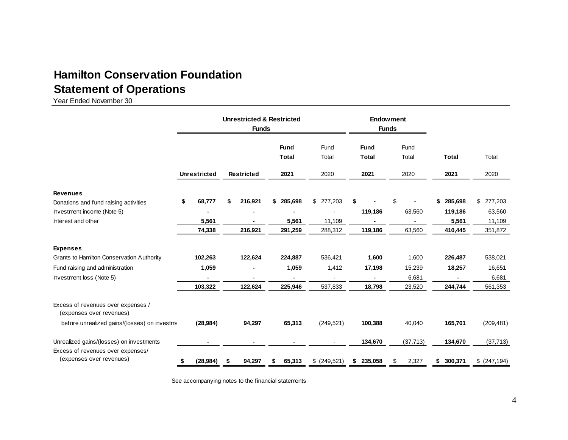## **Hamilton Conservation Foundation Statement of Operations**

Year Ended November 30

|                                                                |                     | <b>Unrestricted &amp; Restricted</b><br><b>Funds</b> |                   |    | <b>Endowment</b><br><b>Funds</b> |               |    |                             |    |               |               |               |
|----------------------------------------------------------------|---------------------|------------------------------------------------------|-------------------|----|----------------------------------|---------------|----|-----------------------------|----|---------------|---------------|---------------|
|                                                                |                     |                                                      |                   |    | <b>Fund</b><br><b>Total</b>      | Fund<br>Total |    | <b>Fund</b><br><b>Total</b> |    | Fund<br>Total | <b>Total</b>  | Total         |
|                                                                | <b>Unrestricted</b> |                                                      | <b>Restricted</b> |    | 2021                             | 2020          |    | 2021                        |    | 2020          | 2021          | 2020          |
| <b>Revenues</b>                                                |                     |                                                      |                   |    |                                  |               |    |                             |    |               |               |               |
| Donations and fund raising activities                          | \$<br>68,777        | \$                                                   | 216,921           |    | \$ 285,698                       | \$277,203     | \$ |                             | \$ |               | 285,698<br>\$ | \$<br>277,203 |
| Investment income (Note 5)                                     |                     |                                                      |                   |    |                                  |               |    | 119,186                     |    | 63,560        | 119,186       | 63,560        |
| Interest and other                                             | 5,561               |                                                      |                   |    | 5,561                            | 11,109        |    |                             |    |               | 5,561         | 11,109        |
|                                                                | 74,338              |                                                      | 216,921           |    | 291,259                          | 288,312       |    | 119,186                     |    | 63,560        | 410,445       | 351,872       |
| <b>Expenses</b>                                                |                     |                                                      |                   |    |                                  |               |    |                             |    |               |               |               |
| Grants to Hamilton Conservation Authority                      | 102,263             |                                                      | 122,624           |    | 224,887                          | 536,421       |    | 1,600                       |    | 1,600         | 226,487       | 538,021       |
| Fund raising and administration                                | 1,059               |                                                      |                   |    | 1,059                            | 1,412         |    | 17,198                      |    | 15,239        | 18,257        | 16,651        |
| Investment loss (Note 5)                                       |                     |                                                      |                   |    |                                  |               |    |                             |    | 6,681         |               | 6,681         |
|                                                                | 103,322             |                                                      | 122,624           |    | 225,946                          | 537,833       |    | 18,798                      |    | 23,520        | 244,744       | 561,353       |
| Excess of revenues over expenses /<br>(expenses over revenues) |                     |                                                      |                   |    |                                  |               |    |                             |    |               |               |               |
| before unrealized gains/(losses) on investme                   | (28, 984)           |                                                      | 94,297            |    | 65,313                           | (249, 521)    |    | 100,388                     |    | 40,040        | 165,701       | (209, 481)    |
| Unrealized gains/(losses) on investments                       |                     |                                                      |                   |    |                                  |               |    | 134,670                     |    | (37, 713)     | 134,670       | (37, 713)     |
| Excess of revenues over expenses/                              |                     |                                                      |                   |    |                                  |               |    |                             |    |               |               |               |
| (expenses over revenues)                                       | \$<br>(28, 984)     | \$                                                   | 94,297            | \$ | 65,313                           | $$$ (249,521) | \$ | 235,058                     | \$ | 2,327         | \$300,371     | \$ (247, 194) |

See accompanying notes to the financial statements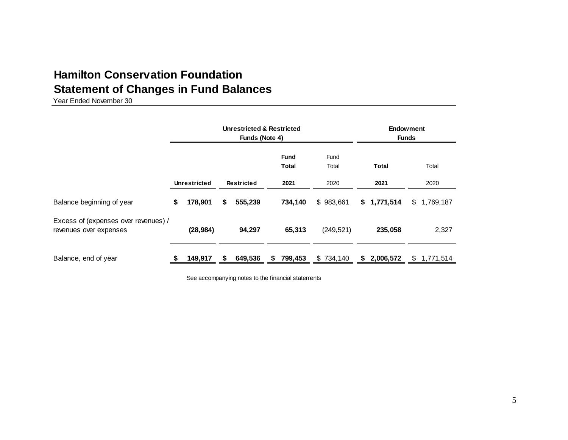## **Hamilton Conservation Foundation Statement of Changes in Fund Balances**

Year Ended November 30

|                                                                |                     | <b>Unrestricted &amp; Restricted</b><br>Funds (Note 4) |         |   |                      | <b>Endowment</b><br><b>Funds</b> |   |             |    |           |
|----------------------------------------------------------------|---------------------|--------------------------------------------------------|---------|---|----------------------|----------------------------------|---|-------------|----|-----------|
|                                                                |                     |                                                        |         |   | <b>Fund</b><br>Total | Fund<br>Total                    |   | Total       |    | Total     |
|                                                                | <b>Unrestricted</b> | <b>Restricted</b>                                      |         |   | 2021                 | 2021<br>2020                     |   | 2020        |    |           |
| Balance beginning of year                                      | \$<br>178,901       | \$                                                     | 555,239 |   | 734,140              | \$983,661                        |   | \$1,771,514 | \$ | 1,769,187 |
| Excess of (expenses over revenues) /<br>revenues over expenses | (28, 984)           |                                                        | 94,297  |   | 65,313               | (249, 521)                       |   | 235,058     |    | 2,327     |
| Balance, end of year                                           | 149,917             |                                                        | 649,536 | S | 799,453              | \$734,140                        | S | 2,006,572   | \$ | 1,771,514 |

See accompanying notes to the financial statements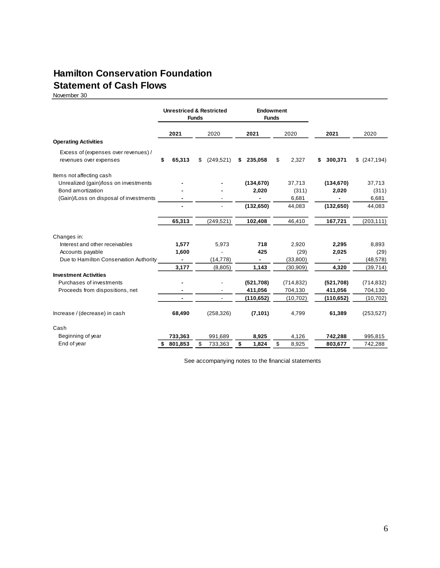### **Hamilton Conservation Foundation Statement of Cash Flows**

November 30

|                                        | <b>Unrestriced &amp; Restricted</b><br><b>Endowment</b><br><b>Funds</b><br><b>Funds</b> |         |    |            |    |            |    |            |    |            |               |
|----------------------------------------|-----------------------------------------------------------------------------------------|---------|----|------------|----|------------|----|------------|----|------------|---------------|
|                                        |                                                                                         | 2021    |    | 2020       |    | 2021       |    | 2020       |    | 2021       | 2020          |
| <b>Operating Activities</b>            |                                                                                         |         |    |            |    |            |    |            |    |            |               |
| Excess of (expenses over revenues) /   |                                                                                         |         |    |            |    |            |    |            |    |            |               |
| revenues over expenses                 | \$                                                                                      | 65,313  | \$ | (249, 521) | \$ | 235,058    | \$ | 2,327      | \$ | 300,371    | \$ (247, 194) |
| Items not affecting cash               |                                                                                         |         |    |            |    |            |    |            |    |            |               |
| Unrealized (gain)/loss on investments  |                                                                                         |         |    |            |    | (134, 670) |    | 37,713     |    | (134, 670) | 37,713        |
| Bond amortization                      |                                                                                         |         |    |            |    | 2,020      |    | (311)      |    | 2,020      | (311)         |
| (Gain)/Loss on disposal of investments |                                                                                         |         |    |            |    |            |    | 6,681      |    |            | 6,681         |
|                                        |                                                                                         |         |    |            |    | (132, 650) |    | 44,083     |    | (132, 650) | 44,083        |
|                                        |                                                                                         | 65,313  |    | (249, 521) |    | 102,408    |    | 46,410     |    | 167,721    | (203, 111)    |
| Changes in:                            |                                                                                         |         |    |            |    |            |    |            |    |            |               |
| Interest and other receivables         |                                                                                         | 1,577   |    | 5,973      |    | 718        |    | 2,920      |    | 2,295      | 8,893         |
| Accounts payable                       |                                                                                         | 1,600   |    |            |    | 425        |    | (29)       |    | 2,025      | (29)          |
| Due to Hamilton Conservation Authority |                                                                                         |         |    | (14, 778)  |    |            |    | (33, 800)  |    |            | (48, 578)     |
|                                        |                                                                                         | 3,177   |    | (8,805)    |    | 1,143      |    | (30, 909)  |    | 4,320      | (39, 714)     |
| <b>Investment Activities</b>           |                                                                                         |         |    |            |    |            |    |            |    |            |               |
| Purchases of investments               |                                                                                         |         |    |            |    | (521, 708) |    | (714, 832) |    | (521, 708) | (714, 832)    |
| Proceeds from dispositions, net        |                                                                                         |         |    |            |    | 411,056    |    | 704,130    |    | 411,056    | 704,130       |
|                                        |                                                                                         |         |    |            |    | (110, 652) |    | (10, 702)  |    | (110, 652) | (10, 702)     |
| Increase / (decrease) in cash          |                                                                                         | 68,490  |    | (258, 326) |    | (7, 101)   |    | 4,799      |    | 61,389     | (253, 527)    |
| Cash                                   |                                                                                         |         |    |            |    |            |    |            |    |            |               |
| Beginning of year                      |                                                                                         | 733.363 |    | 991,689    |    | 8,925      |    | 4,126      |    | 742,288    | 995,815       |
| End of year                            | \$                                                                                      | 801,853 | \$ | 733,363    | \$ | 1,824      | \$ | 8,925      |    | 803,677    | 742,288       |

See accompanying notes to the financial statements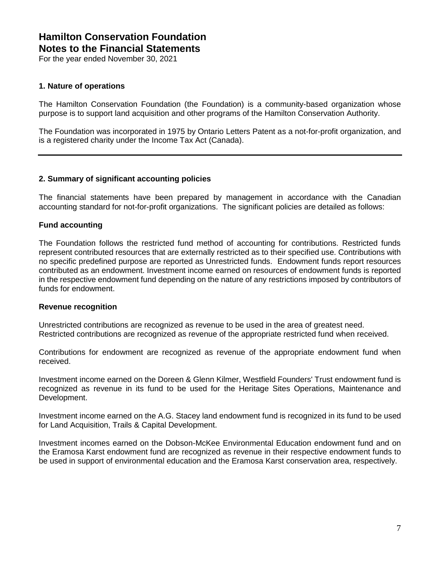For the year ended November 30, 2021

### **1. Nature of operations**

The Hamilton Conservation Foundation (the Foundation) is a community-based organization whose purpose is to support land acquisition and other programs of the Hamilton Conservation Authority.

The Foundation was incorporated in 1975 by Ontario Letters Patent as a not-for-profit organization, and is a registered charity under the Income Tax Act (Canada).

### **2. Summary of significant accounting policies**

The financial statements have been prepared by management in accordance with the Canadian accounting standard for not-for-profit organizations. The significant policies are detailed as follows:

### **Fund accounting**

The Foundation follows the restricted fund method of accounting for contributions. Restricted funds represent contributed resources that are externally restricted as to their specified use. Contributions with no specific predefined purpose are reported as Unrestricted funds. Endowment funds report resources contributed as an endowment. Investment income earned on resources of endowment funds is reported in the respective endowment fund depending on the nature of any restrictions imposed by contributors of funds for endowment.

#### **Revenue recognition**

Unrestricted contributions are recognized as revenue to be used in the area of greatest need. Restricted contributions are recognized as revenue of the appropriate restricted fund when received.

Contributions for endowment are recognized as revenue of the appropriate endowment fund when received.

Investment income earned on the Doreen & Glenn Kilmer, Westfield Founders' Trust endowment fund is recognized as revenue in its fund to be used for the Heritage Sites Operations, Maintenance and Development.

Investment income earned on the A.G. Stacey land endowment fund is recognized in its fund to be used for Land Acquisition, Trails & Capital Development.

Investment incomes earned on the Dobson-McKee Environmental Education endowment fund and on the Eramosa Karst endowment fund are recognized as revenue in their respective endowment funds to be used in support of environmental education and the Eramosa Karst conservation area, respectively.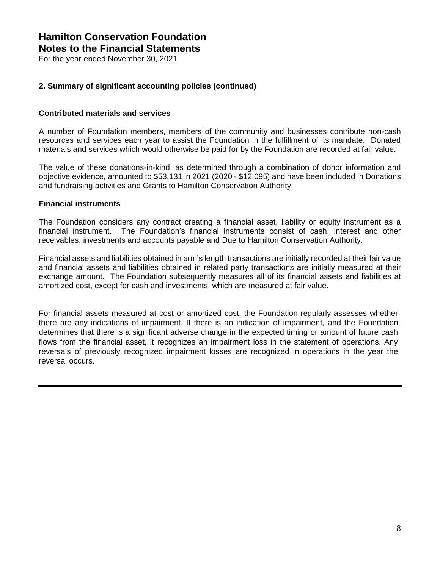For the year ended November 30, 2021

### **2. Summary of significant accounting policies (continued)**

#### **Contributed materials and services**

A number of Foundation members, members of the community and businesses contribute non-cash resources and services each year to assist the Foundation in the fulfillment of its mandate. Donated materials and services which would otherwise be paid for by the Foundation are recorded at fair value.

The value of these donations-in-kind, as determined through a combination of donor information and objective evidence, amounted to \$53,131 in 2021 (2020 - \$12,095) and have been included in Donations and fundraising activities and Grants to Hamilton Conservation Authority.

### **Financial instruments**

The Foundation considers any contract creating a financial asset, liability or equity instrument as a financial instrument. The Foundation's financial instruments consist of cash, interest and other receivables, investments and accounts payable and Due to Hamilton Conservation Authority.

Financial assets and liabilities obtained in arm's length transactions are initially recorded at their fair value and financial assets and liabilities obtained in related party transactions are initially measured at their exchange amount. The Foundation subsequently measures all of its financial assets and liabilities at amortized cost, except for cash and investments, which are measured at fair value.

For financial assets measured at cost or amortized cost, the Foundation regularly assesses whether there are any indications of impairment. If there is an indication of impairment, and the Foundation determines that there is a significant adverse change in the expected timing or amount of future cash flows from the financial asset, it recognizes an impairment loss in the statement of operations. Any reversals of previously recognized impairment losses are recognized in operations in the year the reversal occurs.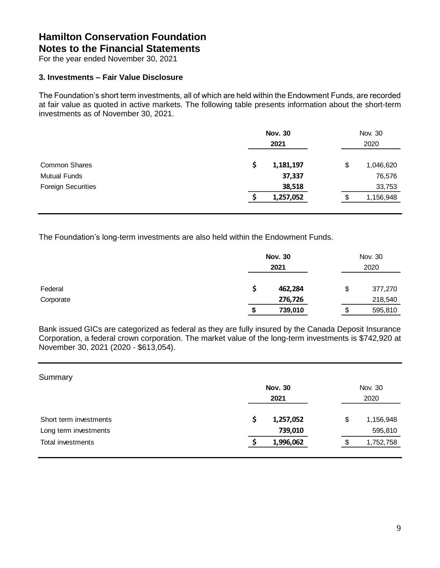For the year ended November 30, 2021

### **3. Investments – Fair Value Disclosure**

The Foundation's short term investments, all of which are held within the Endowment Funds, are recorded at fair value as quoted in active markets. The following table presents information about the short-term investments as of November 30, 2021.

|                           | <b>Nov. 30</b><br>2021 |    |           |  |
|---------------------------|------------------------|----|-----------|--|
| Common Shares             | \$<br>1,181,197        | \$ | 1,046,620 |  |
| <b>Mutual Funds</b>       | 37,337                 |    | 76,576    |  |
| <b>Foreign Securities</b> | 38,518                 |    | 33,753    |  |
|                           | 1,257,052              | \$ | 1,156,948 |  |

The Foundation's long-term investments are also held within the Endowment Funds.

|           |    | <b>Nov. 30</b><br>2021 | Nov. 30<br>2020 |
|-----------|----|------------------------|-----------------|
| Federal   | S  | 462,284                | \$<br>377,270   |
| Corporate |    | 276,726                | 218,540         |
|           | \$ | 739,010                | \$<br>595,810   |

Bank issued GICs are categorized as federal as they are fully insured by the Canada Deposit Insurance Corporation, a federal crown corporation. The market value of the long-term investments is \$742,920 at November 30, 2021 (2020 - \$613,054).

| Summary                |                 |    |           |  |  |
|------------------------|-----------------|----|-----------|--|--|
|                        | <b>Nov. 30</b>  |    | Nov. 30   |  |  |
|                        | 2021            |    | 2020      |  |  |
| Short term investments | \$<br>1,257,052 | \$ | 1,156,948 |  |  |
| Long term investments  | 739,010         |    | 595,810   |  |  |
| Total investments      | 1,996,062       | \$ | 1,752,758 |  |  |
|                        |                 |    |           |  |  |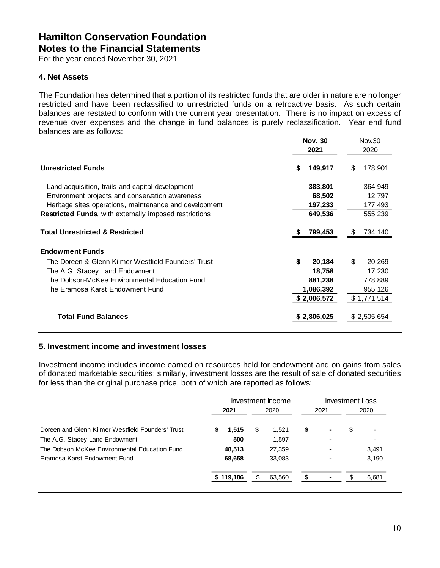For the year ended November 30, 2021

### **4. Net Assets**

The Foundation has determined that a portion of its restricted funds that are older in nature are no longer restricted and have been reclassified to unrestricted funds on a retroactive basis. As such certain balances are restated to conform with the current year presentation. There is no impact on excess of revenue over expenses and the change in fund balances is purely reclassification. Year end fund balances are as follows:

|                                                               | <b>Nov. 30</b><br>2021 |    | <b>Nov.30</b><br>2020 |
|---------------------------------------------------------------|------------------------|----|-----------------------|
| <b>Unrestricted Funds</b>                                     | \$<br>149,917          | \$ | 178,901               |
| Land acquisition, trails and capital development              | 383,801                |    | 364,949               |
| Environment projects and conservation awareness               | 68,502                 |    | 12,797                |
| Heritage sites operations, maintenance and development        | 197,233                |    | 177,493               |
| <b>Restricted Funds, with externally imposed restrictions</b> | 649,536                |    | 555,239               |
| <b>Total Unrestricted &amp; Restricted</b>                    | 799,453                | S  | 734,140               |
| <b>Endowment Funds</b>                                        |                        |    |                       |
| The Doreen & Glenn Kilmer Westfield Founders' Trust           | \$<br>20,184           | \$ | 20,269                |
| The A.G. Stacey Land Endowment                                | 18,758                 |    | 17,230                |
| The Dobson-McKee Environmental Education Fund                 | 881,238                |    | 778,889               |
| The Eramosa Karst Endowment Fund                              | 1,086,392              |    | 955,126               |
|                                                               | \$2,006,572            |    | \$1,771,514           |
| <b>Total Fund Balances</b>                                    | \$2,806,025            |    | \$2,505,654           |

#### **5. Investment income and investment losses**

Investment income includes income earned on resources held for endowment and on gains from sales of donated marketable securities; similarly, investment losses are the result of sale of donated securities for less than the original purchase price, both of which are reported as follows:

|                                                   |            | Investment Income |      | <b>Investment Loss</b> |
|---------------------------------------------------|------------|-------------------|------|------------------------|
|                                                   | 2021       | 2020              | 2021 | 2020                   |
| Doreen and Glenn Kilmer Westfield Founders' Trust | 1,515<br>S | \$<br>1,521       | \$   | \$                     |
| The A.G. Stacey Land Endowment                    | 500        | 1,597             |      |                        |
| The Dobson McKee Environmental Education Fund     | 48.513     | 27,359            |      | 3,491                  |
| Eramosa Karst Endowment Fund                      | 68,658     | 33,083            |      | 3,190                  |
|                                                   | \$119,186  | 63,560<br>S       |      | 6,681                  |
|                                                   |            |                   |      |                        |